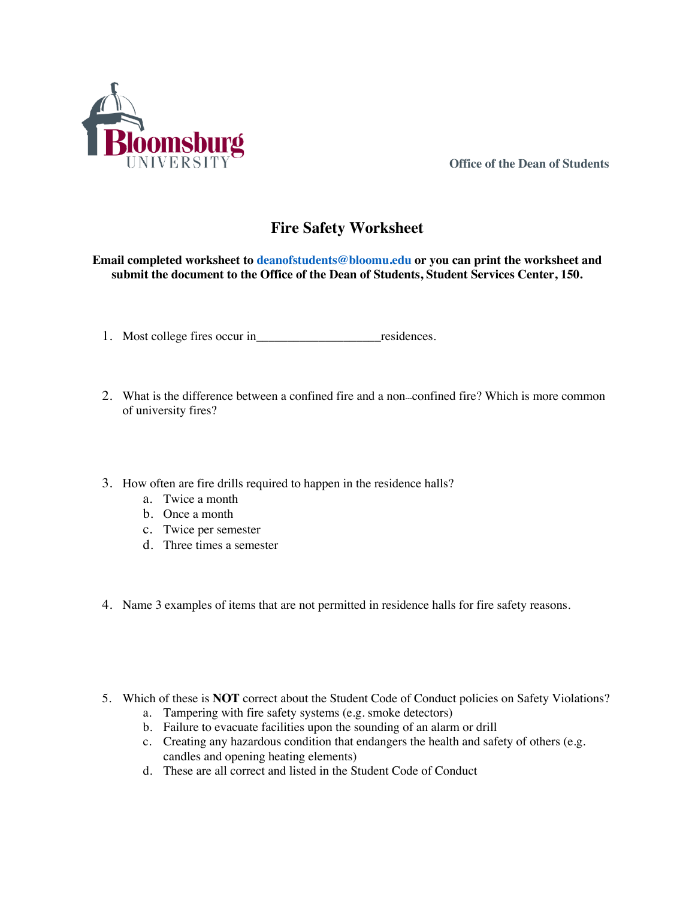

**Office of the Dean of Students**

## **Fire Safety Worksheet**

**Email completed worksheet to deanofstudents@bloomu.edu or you can print the worksheet and submit the document to the Office of the Dean of Students, Student Services Center, 150.**

- 1. Most college fires occur in\_\_\_\_\_\_\_\_\_\_\_\_\_\_\_\_\_\_\_\_residences.
- 2. What is the difference between a confined fire and a non--confined fire? Which is more common of university fires?
- 3. How often are fire drills required to happen in the residence halls?
	- a. Twice a month
	- b. Once a month
	- c. Twice per semester
	- d. Three times a semester
- 4. Name 3 examples of items that are not permitted in residence halls for fire safety reasons.
- 5. Which of these is **NOT** correct about the Student Code of Conduct policies on Safety Violations?
	- a. Tampering with fire safety systems (e.g. smoke detectors)
	- b. Failure to evacuate facilities upon the sounding of an alarm or drill
	- c. Creating any hazardous condition that endangers the health and safety of others (e.g. candles and opening heating elements)
	- d. These are all correct and listed in the Student Code of Conduct